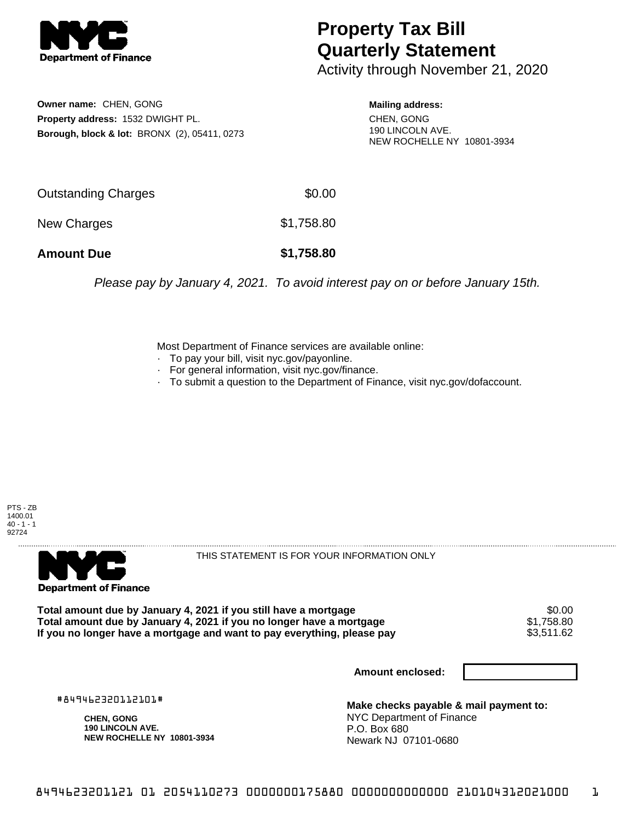

## **Property Tax Bill Quarterly Statement**

Activity through November 21, 2020

**Owner name:** CHEN, GONG **Property address:** 1532 DWIGHT PL. **Borough, block & lot:** BRONX (2), 05411, 0273

**Mailing address:** CHEN, GONG 190 LINCOLN AVE. NEW ROCHELLE NY 10801-3934

| <b>Amount Due</b>   | \$1,758.80 |
|---------------------|------------|
| New Charges         | \$1,758.80 |
| Outstanding Charges | \$0.00     |

Please pay by January 4, 2021. To avoid interest pay on or before January 15th.

Most Department of Finance services are available online:

- · To pay your bill, visit nyc.gov/payonline.
- For general information, visit nyc.gov/finance.
- · To submit a question to the Department of Finance, visit nyc.gov/dofaccount.





THIS STATEMENT IS FOR YOUR INFORMATION ONLY

Total amount due by January 4, 2021 if you still have a mortgage \$0.00<br>Total amount due by January 4, 2021 if you no longer have a mortgage \$1.758.80 **Total amount due by January 4, 2021 if you no longer have a mortgage**  $$1,758.80$ **<br>If you no longer have a mortgage and want to pay everything, please pay <b>show that the summan set of the s**3,511.62 If you no longer have a mortgage and want to pay everything, please pay

**Amount enclosed:**

#849462320112101#

**CHEN, GONG 190 LINCOLN AVE. NEW ROCHELLE NY 10801-3934**

**Make checks payable & mail payment to:** NYC Department of Finance P.O. Box 680 Newark NJ 07101-0680